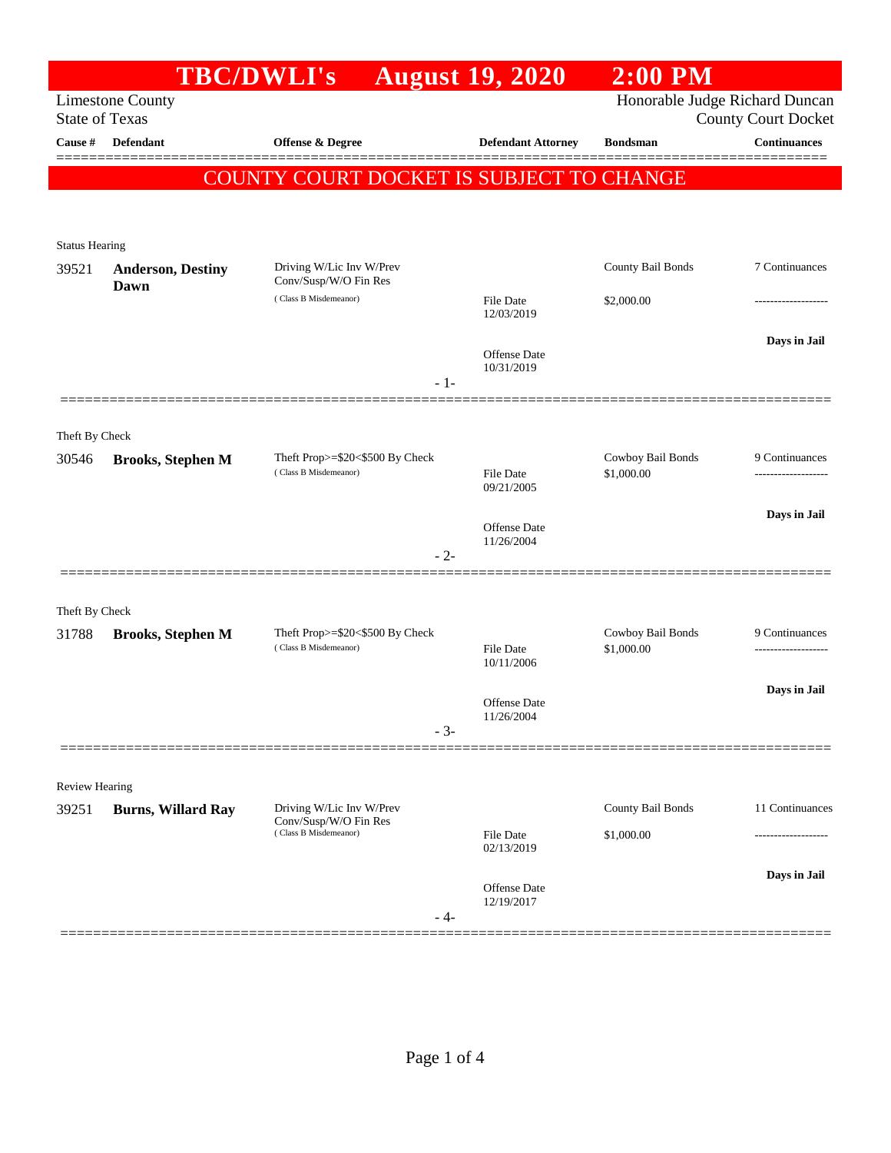|                                  |                           | <b>TBC/DWLI's</b>                                        | <b>August 19, 2020</b>         | $2:00$ PM                       |                                                   |
|----------------------------------|---------------------------|----------------------------------------------------------|--------------------------------|---------------------------------|---------------------------------------------------|
|                                  | <b>Limestone County</b>   |                                                          |                                |                                 | Honorable Judge Richard Duncan                    |
| <b>State of Texas</b><br>Cause # | <b>Defendant</b>          |                                                          | <b>Defendant Attorney</b>      | <b>Bondsman</b>                 | <b>County Court Docket</b><br><b>Continuances</b> |
|                                  |                           | <b>Offense &amp; Degree</b>                              |                                |                                 | 20000000                                          |
|                                  |                           | <b>COUNTY COURT DOCKET IS SUBJECT TO CHANGE</b>          |                                |                                 |                                                   |
|                                  |                           |                                                          |                                |                                 |                                                   |
| <b>Status Hearing</b>            |                           |                                                          |                                |                                 |                                                   |
| 39521                            | <b>Anderson, Destiny</b>  | Driving W/Lic Inv W/Prev                                 |                                | County Bail Bonds               | 7 Continuances                                    |
|                                  | Dawn                      | Conv/Susp/W/O Fin Res                                    |                                |                                 |                                                   |
|                                  |                           | (Class B Misdemeanor)                                    | <b>File Date</b><br>12/03/2019 | \$2,000.00                      |                                                   |
|                                  |                           |                                                          |                                |                                 | Days in Jail                                      |
|                                  |                           |                                                          | Offense Date<br>10/31/2019     |                                 |                                                   |
|                                  |                           | $-1-$                                                    |                                |                                 |                                                   |
|                                  |                           |                                                          |                                |                                 |                                                   |
| Theft By Check                   |                           |                                                          |                                |                                 |                                                   |
| 30546                            | <b>Brooks, Stephen M</b>  | Theft Prop>=\$20<\$500 By Check<br>(Class B Misdemeanor) | <b>File Date</b>               | Cowboy Bail Bonds<br>\$1,000.00 | 9 Continuances                                    |
|                                  |                           |                                                          | 09/21/2005                     |                                 |                                                   |
|                                  |                           |                                                          | Offense Date                   |                                 | Days in Jail                                      |
|                                  |                           |                                                          | 11/26/2004                     |                                 |                                                   |
|                                  |                           | $-2-$                                                    |                                |                                 |                                                   |
|                                  |                           |                                                          |                                |                                 |                                                   |
| Theft By Check<br>31788          | <b>Brooks, Stephen M</b>  | Theft Prop>=\$20<\$500 By Check                          |                                | Cowboy Bail Bonds               | 9 Continuances                                    |
|                                  |                           | (Class B Misdemeanor)                                    | <b>File Date</b>               | \$1,000.00                      |                                                   |
|                                  |                           |                                                          | 10/11/2006                     |                                 |                                                   |
|                                  |                           |                                                          | Offense Date                   |                                 | Days in Jail                                      |
|                                  |                           | $-3-$                                                    | 11/26/2004                     |                                 |                                                   |
|                                  |                           |                                                          |                                |                                 |                                                   |
| Review Hearing                   |                           |                                                          |                                |                                 |                                                   |
| 39251                            | <b>Burns, Willard Ray</b> | Driving W/Lic Inv W/Prev                                 |                                | County Bail Bonds               | 11 Continuances                                   |
|                                  |                           | Conv/Susp/W/O Fin Res<br>(Class B Misdemeanor)           | File Date                      | \$1,000.00                      |                                                   |
|                                  |                           |                                                          | 02/13/2019                     |                                 |                                                   |
|                                  |                           |                                                          | Offense Date                   |                                 | Days in Jail                                      |
|                                  |                           | - 4-                                                     | 12/19/2017                     |                                 |                                                   |
|                                  |                           |                                                          |                                |                                 |                                                   |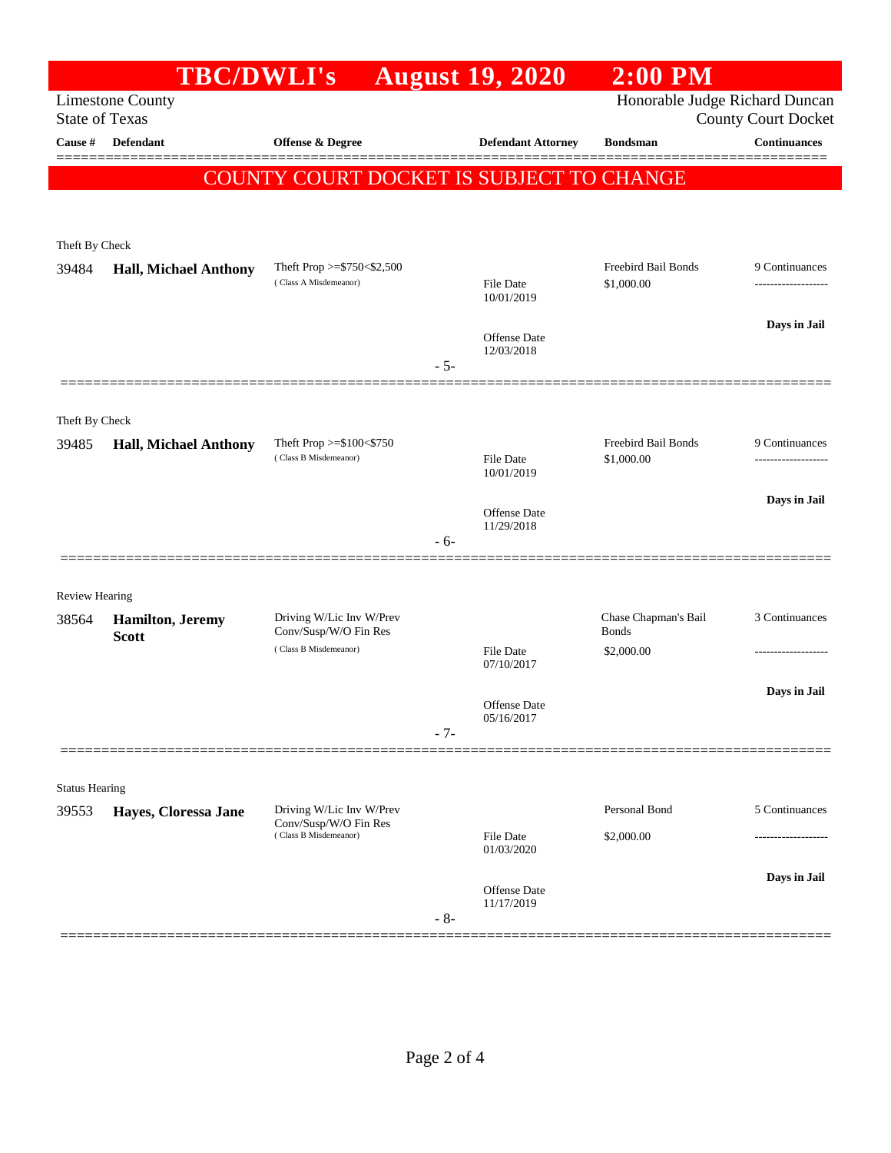|                                                  | <b>TBC/DWLI's</b>                        |                                                   |       | <b>August 19, 2020</b>         | $2:00$ PM                            |                     |
|--------------------------------------------------|------------------------------------------|---------------------------------------------------|-------|--------------------------------|--------------------------------------|---------------------|
| <b>Limestone County</b><br><b>State of Texas</b> |                                          |                                                   |       | Honorable Judge Richard Duncan | <b>County Court Docket</b>           |                     |
| Cause #                                          | <b>Defendant</b>                         | Offense & Degree                                  |       | <b>Defendant Attorney</b>      | <b>Bondsman</b>                      | <b>Continuances</b> |
|                                                  |                                          | <b>COUNTY COURT DOCKET IS SUBJECT TO CHANGE</b>   |       |                                |                                      |                     |
|                                                  |                                          |                                                   |       |                                |                                      |                     |
| Theft By Check                                   |                                          |                                                   |       |                                |                                      |                     |
| 39484                                            | <b>Hall, Michael Anthony</b>             | Theft Prop >=\$750<\$2,500                        |       |                                | Freebird Bail Bonds                  | 9 Continuances      |
|                                                  |                                          | (Class A Misdemeanor)                             |       | <b>File Date</b><br>10/01/2019 | \$1,000.00                           |                     |
|                                                  |                                          |                                                   |       | Offense Date                   |                                      | Days in Jail        |
|                                                  |                                          |                                                   | $-5-$ | 12/03/2018                     |                                      |                     |
|                                                  |                                          |                                                   |       |                                |                                      |                     |
| Theft By Check                                   |                                          |                                                   |       |                                |                                      |                     |
| 39485                                            | <b>Hall, Michael Anthony</b>             | Theft Prop >=\$100<\$750<br>(Class B Misdemeanor) |       | <b>File Date</b>               | Freebird Bail Bonds<br>\$1,000.00    | 9 Continuances<br>. |
|                                                  |                                          |                                                   |       | 10/01/2019                     |                                      |                     |
|                                                  |                                          |                                                   |       | Offense Date                   |                                      | Days in Jail        |
|                                                  |                                          |                                                   | $-6-$ | 11/29/2018                     |                                      |                     |
|                                                  |                                          |                                                   |       |                                |                                      |                     |
| <b>Review Hearing</b>                            |                                          |                                                   |       |                                |                                      |                     |
| 38564                                            | <b>Hamilton</b> , Jeremy<br><b>Scott</b> | Driving W/Lic Inv W/Prev<br>Conv/Susp/W/O Fin Res |       |                                | Chase Chapman's Bail<br><b>Bonds</b> | 3 Continuances      |
|                                                  |                                          | (Class B Misdemeanor)                             |       | <b>File Date</b><br>07/10/2017 | \$2,000.00                           |                     |
|                                                  |                                          |                                                   |       |                                |                                      | Days in Jail        |
|                                                  |                                          |                                                   |       | Offense Date<br>05/16/2017     |                                      |                     |
|                                                  |                                          |                                                   | $-7-$ |                                |                                      |                     |
|                                                  |                                          |                                                   |       |                                |                                      |                     |
| <b>Status Hearing</b>                            |                                          | Driving W/Lic Inv W/Prev                          |       |                                | Personal Bond                        | 5 Continuances      |
| 39553                                            | Hayes, Cloressa Jane                     | Conv/Susp/W/O Fin Res<br>(Class B Misdemeanor)    |       | <b>File Date</b>               | \$2,000.00                           |                     |
|                                                  |                                          |                                                   |       | 01/03/2020                     |                                      |                     |
|                                                  |                                          |                                                   |       | Offense Date                   |                                      | Days in Jail        |
|                                                  |                                          |                                                   | $-8-$ | 11/17/2019                     |                                      |                     |
|                                                  |                                          |                                                   |       |                                |                                      |                     |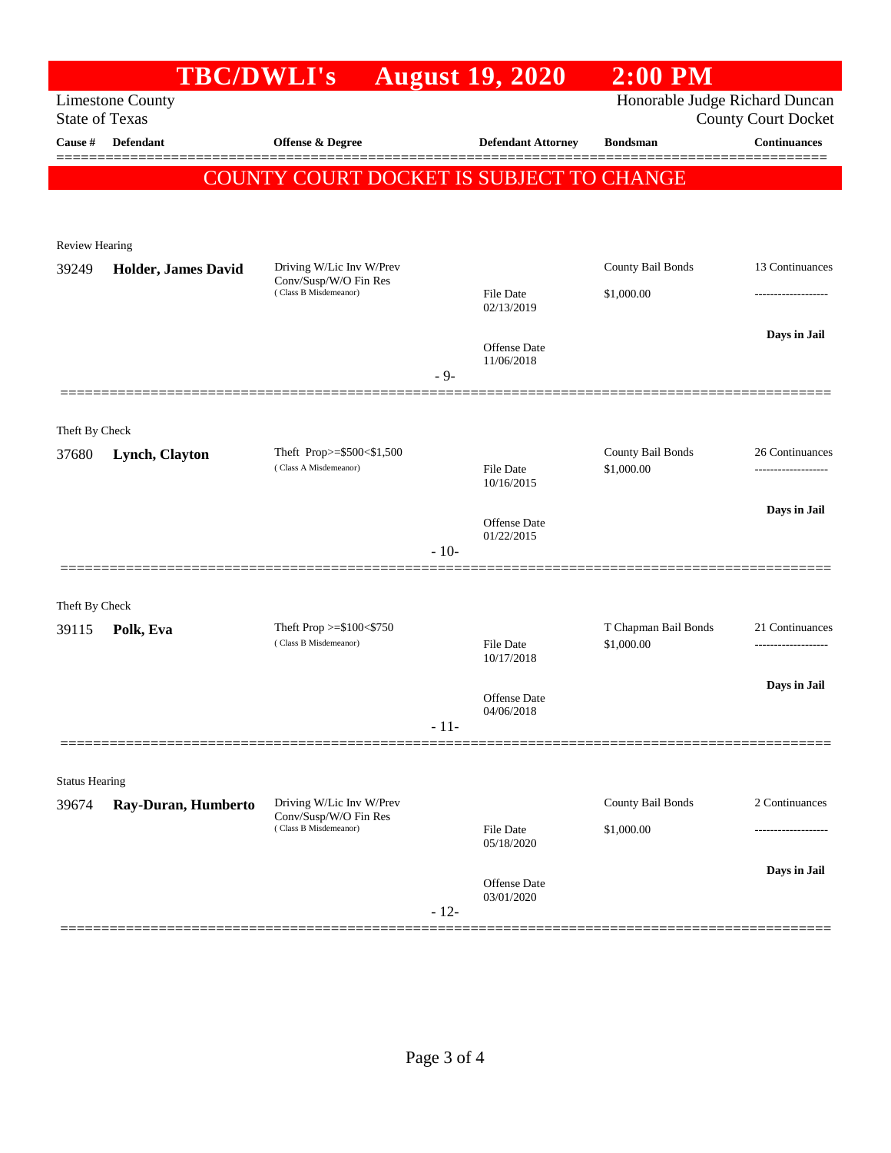|                                | <b>TBC/DWLI's</b>       |                                                     |        | <b>August 19, 2020</b>            | <b>2:00 PM</b>                     |                                        |
|--------------------------------|-------------------------|-----------------------------------------------------|--------|-----------------------------------|------------------------------------|----------------------------------------|
|                                | <b>Limestone County</b> |                                                     |        |                                   | Honorable Judge Richard Duncan     |                                        |
| <b>State of Texas</b>          |                         |                                                     |        |                                   |                                    | <b>County Court Docket</b>             |
| Cause #                        | Defendant               | Offense & Degree                                    |        | <b>Defendant Attorney</b>         | <b>Bondsman</b>                    | <b>Continuances</b>                    |
|                                |                         | COUNTY COURT DOCKET IS SUBJECT TO CHANGE            |        |                                   |                                    |                                        |
|                                |                         |                                                     |        |                                   |                                    |                                        |
|                                |                         |                                                     |        |                                   |                                    |                                        |
| Review Hearing                 |                         | Driving W/Lic Inv W/Prev                            |        |                                   | County Bail Bonds                  | 13 Continuances                        |
| 39249                          | Holder, James David     | Conv/Susp/W/O Fin Res                               |        |                                   |                                    |                                        |
|                                |                         | (Class B Misdemeanor)                               |        | <b>File Date</b><br>02/13/2019    | \$1,000.00                         |                                        |
|                                |                         |                                                     |        |                                   |                                    | Days in Jail                           |
|                                |                         |                                                     |        | Offense Date<br>11/06/2018        |                                    |                                        |
|                                |                         |                                                     | $-9-$  |                                   |                                    |                                        |
|                                |                         |                                                     |        |                                   |                                    |                                        |
| Theft By Check                 |                         |                                                     |        |                                   |                                    |                                        |
| 37680                          | Lynch, Clayton          | Theft Prop>=\$500<\$1,500<br>(Class A Misdemeanor)  |        | <b>File Date</b>                  | County Bail Bonds<br>\$1,000.00    | 26 Continuances                        |
|                                |                         |                                                     |        | 10/16/2015                        |                                    |                                        |
|                                |                         |                                                     |        |                                   |                                    | Days in Jail                           |
|                                |                         |                                                     |        | <b>Offense Date</b><br>01/22/2015 |                                    |                                        |
|                                |                         |                                                     | $-10-$ |                                   |                                    |                                        |
|                                |                         |                                                     |        |                                   |                                    |                                        |
| Theft By Check                 |                         |                                                     |        |                                   |                                    |                                        |
| 39115                          | Polk, Eva               | Theft Prop $>=\$100<\$750$<br>(Class B Misdemeanor) |        | File Date                         | T Chapman Bail Bonds<br>\$1,000.00 | 21 Continuances<br>------------------- |
|                                |                         |                                                     |        | 10/17/2018                        |                                    |                                        |
|                                |                         |                                                     |        | <b>Offense Date</b>               |                                    | Days in Jail                           |
|                                |                         |                                                     | $-11-$ | 04/06/2018                        |                                    |                                        |
|                                |                         |                                                     |        |                                   |                                    |                                        |
|                                |                         |                                                     |        |                                   |                                    |                                        |
| <b>Status Hearing</b><br>39674 | Ray-Duran, Humberto     | Driving W/Lic Inv W/Prev                            |        |                                   | County Bail Bonds                  | 2 Continuances                         |
|                                |                         | Conv/Susp/W/O Fin Res<br>(Class B Misdemeanor)      |        | <b>File Date</b>                  | \$1,000.00                         |                                        |
|                                |                         |                                                     |        | 05/18/2020                        |                                    |                                        |
|                                |                         |                                                     |        | <b>Offense Date</b>               |                                    | Days in Jail                           |
|                                |                         |                                                     |        | 03/01/2020                        |                                    |                                        |
|                                |                         |                                                     | $-12-$ |                                   |                                    |                                        |